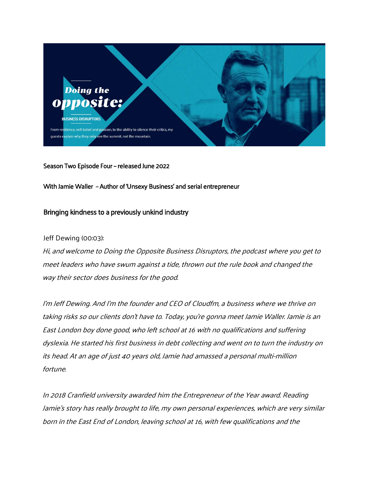

Season Two Episode Four – released June 2022

With Jamie Waller – Author of 'Unsexy Business' and serial entrepreneur

# Bringing kindness to a previously unkind industry

# Jeff Dewing (00:03):

Hi, and welcome to Doing the Opposite Business Disruptors, the podcast where you get to meet leaders who have swum against <sup>a</sup> tide, thrown out the rule book and changed the way their sector does business for the good.

I'm Jeff Dewing. And I'm the founder and CEO of Cloudfm, a business where we thrive on taking risk<sup>s</sup> so our clients don't have to. Today, you're gonna meet Jamie Waller. Jamie is an East London boy done good, who left school at 16 with no qualifications and suffering dyslexia. He started his first business in debt collecting and went on to turn the industry on its head. At an age of just 40 years old, Jamie had amassed a personal multi-million fortune.

In 2018 Cranfield university awarded him the Entrepreneur of the Year award. Reading Jamie's story has really brought to life, my own personal experiences, which are very similar born in the East End of London, leaving school at 16, with few qualifications and the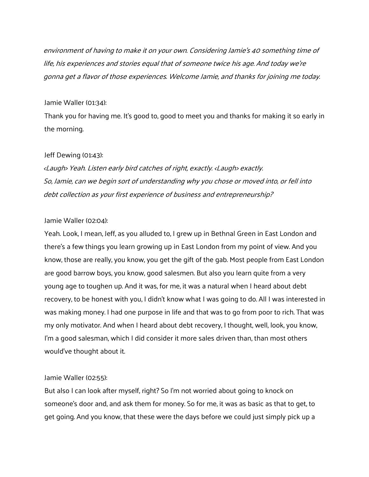environment of having to make it on your own. Considering Jamie's 40 something time of life, his experiences and stories equal that of someone twice his age. And today we're gonna get a flavor of those experiences. Welcome Jamie, and thanks for joining me today.

# Jamie Waller (01:34):

Thank you for having me. It's good to, good to meet you and thanks for making it so early in the morning.

# Jeff Dewing (01:43):

<Laugh> Yeah. Listen early bird catches of right, exactly. <Laugh> exactly. So, Jamie, can we begin sort of understanding why you chose or moved into, or fell into debt collection as your first experience of business and entrepreneurship?

# Jamie Waller (02:04):

Yeah. Look, I mean, Jeff, as you alluded to, I grew up in Bethnal Green in East London and there's a few things you learn growing up in East London from my point of view. And you know, those are really, you know, you get the gift of the gab. Most people from East London are good barrow boys, you know, good salesmen. But also you learn quite from a very young age to toughen up. And it was, for me, it was a natural when I heard about debt recovery, to be honest with you, I didn't know what I was going to do. All I was interested in was making money. I had one purpose in life and that was to go from poor to rich. That was my only motivator. And when I heard about debt recovery, I thought, well, look, you know, I'm a good salesman, which I did consider it more sales driven than, than most others would've thought about it.

# Jamie Waller (02:55):

But also I can look after myself, right? So I'm not worried about going to knock on someone's door and, and ask them for money. So for me, it was as basic as that to get, to get going. And you know, that these were the days before we could just simply pick up a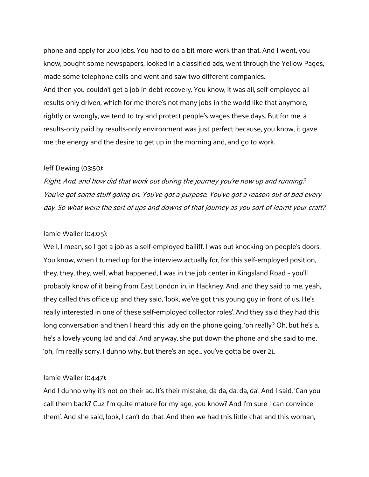phone and apply for 200 jobs. You had to do a bit more work than that. And I went, you know, bought some newspapers, looked in a classified ads, went through the Yellow Pages, made some telephone calls and went and saw two different companies. And then you couldn't get a job in debt recovery. You know, it was all, self-employed all results-only driven, which for me there's not many jobs in the world like that anymore, rightly or wrongly, we tend to try and protect people's wages these days. But for me, a results-only paid by results-only environment was just perfect because, you know, it gave me the energy and the desire to get up in the morning and, and go to work.

### Jeff Dewing (03:50):

Right. And, and how did that work out during the journey you're now up and running? You've got some stuff going on. You've got a purpose. You've got a reason out of bed every day. So what were the sort of ups and downs of that journey as you sort of learnt your craft?

#### Jamie Waller (04:05):

Well, I mean, so I got a job as a self-employed bailiff. I was out knocking on people's doors. You know, when I turned up for the interview actually for, for this self-employed position, they, they, they, well, what happened, I was in the job center in Kingsland Road – you'll probably know of it being from East London in, in Hackney. And, and they said to me, yeah, they called this office up and they said, 'look, we've got this young guy in front of us. He's really interested in one of these self-employed collector roles'. And they said they had this long conversation and then I heard this lady on the phone going, 'oh really? Oh, but he's a, he's a lovely young lad and da'. And anyway, she put down the phone and she said to me, 'oh, I'm really sorry. I dunno why, but there's an age… you've gotta be over 21.

### Jamie Waller (04:47):

And I dunno why it's not on their ad. It's their mistake, da da, da, da, da'. And I said, 'Can you call them back? Cuz I'm quite mature for my age, you know? And I'm sure I can convince them'. And she said, look, I can't do that. And then we had this little chat and this woman,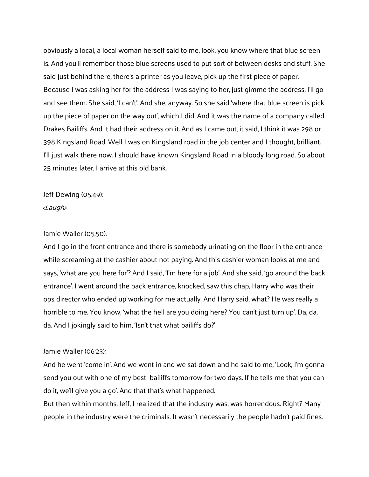obviously a local, a local woman herself said to me, look, you know where that blue screen is. And you'll remember those blue screens used to put sort of between desks and stuff. She said just behind there, there's a printer as you leave, pick up the first piece of paper. Because I was asking her for the address I was saying to her, just gimme the address, I'll go and see them. She said, 'I can't'. And she, anyway. So she said 'where that blue screen is pick up the piece of paper on the way out', which I did. And it was the name of a company called Drakes Bailiffs. And it had their address on it. And as I came out, it said, I think it was 298 or 398 Kingsland Road. Well I was on Kingsland road in the job center and I thought, brilliant. I'll just walk there now. I should have known Kingsland Road in a bloody long road. So about 25 minutes later, I arrive at this old bank.

Jeff Dewing (05:49): <Laugh>

# Jamie Waller (05:50):

And I go in the front entrance and there is somebody urinating on the floor in the entrance while screaming at the cashier about not paying. And this cashier woman looks at me and says, 'what are you here for'? And I said, 'I'm here for a job'. And she said, 'go around the back entrance'. I went around the back entrance, knocked, saw this chap, Harry who was their ops director who ended up working for me actually. And Harry said, what? He was really a horrible to me. You know, 'what the hell are you doing here? You can't just turn up'. Da, da, da. And I jokingly said to him, 'Isn't that what bailiffs do?'

# Jamie Waller (06:23):

And he went 'come in'. And we went in and we sat down and he said to me, 'Look, I'm gonna send you out with one of my best bailiffs tomorrow for two days. If he tells me that you can do it, we'll give you a go'. And that that's what happened.

But then within months, Jeff, I realized that the industry was, was horrendous. Right? Many people in the industry were the criminals. It wasn't necessarily the people hadn't paid fines.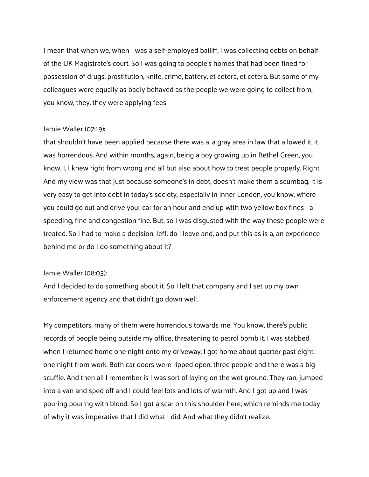I mean that when we, when I was a self-employed bailiff, I was collecting debts on behalf of the UK Magistrate's court. So I was going to people's homes that had been fined for possession of drugs, prostitution, knife, crime, battery, et cetera, et cetera. But some of my colleagues were equally as badly behaved as the people we were going to collect from, you know, they, they were applying fees

# Jamie Waller (07:19):

that shouldn't have been applied because there was a, a gray area in law that allowed it, it was horrendous. And within months, again, being a boy growing up in Bethel Green, you know, I, I knew right from wrong and all but also about how to treat people properly. Right. And my view was that just because someone's in debt, doesn't make them a scumbag. It is very easy to get into debt in today's society, especially in inner London, you know, where you could go out and drive your car for an hour and end up with two yellow box fines - a speeding, fine and congestion fine. But, so I was disgusted with the way these people were treated. So I had to make a decision. Jeff, do I leave and, and put this as is a, an experience behind me or do I do something about it?

### Jamie Waller (08:03):

And I decided to do something about it. So I left that company and I set up my own enforcement agency and that didn't go down well.

My competitors, many of them were horrendous towards me. You know, there's public records of people being outside my office, threatening to petrol bomb it. I was stabbed when I returned home one night onto my driveway. I got home about quarter past eight, one night from work. Both car doors were ripped open, three people and there was a big scuffle. And then all I remember is I was sort of laying on the wet ground. They ran, jumped into a van and sped off and I could feel lots and lots of warmth. And I got up and I was pouring pouring with blood. So I got a scar on this shoulder here, which reminds me today of why it was imperative that I did what I did. And what they didn't realize.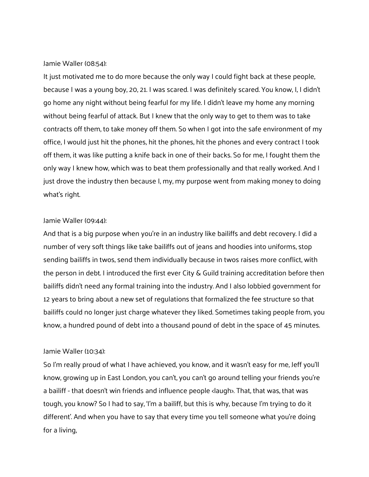#### Jamie Waller (08:54):

It just motivated me to do more because the only way I could fight back at these people, because I was a young boy, 20, 21. I was scared. I was definitely scared. You know, I, I didn't go home any night without being fearful for my life. I didn't leave my home any morning without being fearful of attack. But I knew that the only way to get to them was to take contracts off them, to take money off them. So when I got into the safe environment of my office, I would just hit the phones, hit the phones, hit the phones and every contract I took off them, it was like putting a knife back in one of their backs. So for me, I fought them the only way I knew how, which was to beat them professionally and that really worked. And I just drove the industry then because I, my, my purpose went from making money to doing what's right.

### Jamie Waller (09:44):

And that is a big purpose when you're in an industry like bailiffs and debt recovery. I did a number of very soft things like take bailiffs out of jeans and hoodies into uniforms, stop sending bailiffs in twos, send them individually because in twos raises more conflict, with the person in debt. I introduced the first ever City & Guild training accreditation before then bailiffs didn't need any formal training into the industry. And I also lobbied government for 12 years to bring about a new set of regulations that formalized the fee structure so that bailiffs could no longer just charge whatever they liked. Sometimes taking people from, you know, a hundred pound of debt into a thousand pound of debt in the space of 45 minutes.

### Jamie Waller (10:34):

So I'm really proud of what I have achieved, you know, and it wasn't easy for me, Jeff you'll know, growing up in East London, you can't, you can't go around telling your friends you're a bailiff - that doesn't win friends and influence people <laugh>. That, that was, that was tough, you know? So I had to say, 'I'm a bailiff, but this is why, because I'm trying to do it different'. And when you have to say that every time you tell someone what you're doing for a living,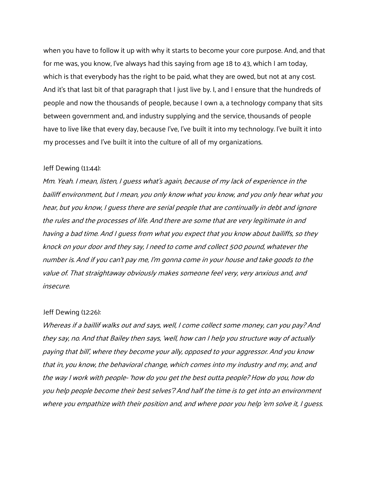when you have to follow it up with why it starts to become your core purpose. And, and that for me was, you know, I've always had this saying from age 18 to 43, which I am today, which is that everybody has the right to be paid, what they are owed, but not at any cost. And it's that last bit of that paragraph that I just live by. I, and I ensure that the hundreds of people and now the thousands of people, because I own a, a technology company that sits between government and, and industry supplying and the service, thousands of people have to live like that every day, because I've, I've built it into my technology. I've built it into my processes and I've built it into the culture of all of my organizations.

### Jeff Dewing (11:44):

Mm. Yeah. I mean, listen, I guess what's again, because of my lack of experience in the bailiff environment, but I mean, you only know what you know, and you only hear what you hear, but you know, I guess there are serial people that are continually in debt and ignore the rules and the processes of life. And there are some that are very legitimate in and having a bad time. And I guess from what you expect that you know about bailiffs, so they knock on your door and they say, I need to come and collect 500 pound, whatever the number is. And if you can't pay me, I'm gonna come in your house and take goods to the value of. That straightaway obviously makes someone feel very, very anxious and, and insecure.

#### Jeff Dewing (12:26):

Whereas if a baillif walks out and says, well, I come collect some money, can you pay? And they say, no. And that Bailey then says, 'well, how can I help you structure way of actually paying that bill', where they become your ally, opposed to your aggressor. And you know that in, you know, the behavioral change, which comes into my industry and my, and, and the way I work with people- 'how do you get the best outta people? How do you, how do you help people become their best selves'? And half the time is to get into an environment where you empathize with their position and, and where poor you help 'em solve it, I guess.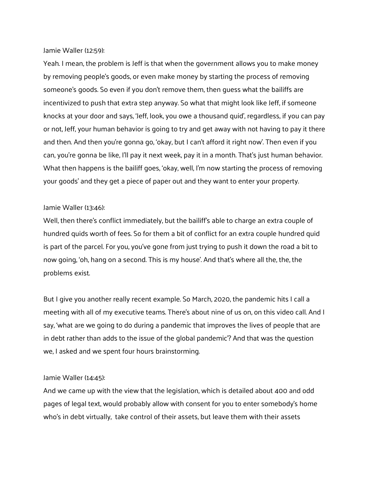### Jamie Waller (12:59):

Yeah. I mean, the problem is Jeff is that when the government allows you to make money by removing people's goods, or even make money by starting the process of removing someone's goods. So even if you don't remove them, then guess what the bailiffs are incentivized to push that extra step anyway. So what that might look like Jeff, if someone knocks at your door and says, 'Jeff, look, you owe a thousand quid', regardless, if you can pay or not, Jeff, your human behavior is going to try and get away with not having to pay it there and then. And then you're gonna go, 'okay, but I can't afford it right now'. Then even if you can, you're gonna be like, I'll pay it next week, pay it in a month. That's just human behavior. What then happens is the bailiff goes, 'okay, well, I'm now starting the process of removing your goods' and they get a piece of paper out and they want to enter your property.

# Jamie Waller (13:46):

Well, then there's conflict immediately, but the bailiff's able to charge an extra couple of hundred quids worth of fees. So for them a bit of conflict for an extra couple hundred quid is part of the parcel. For you, you've gone from just trying to push it down the road a bit to now going, 'oh, hang on a second. This is my house'. And that's where all the, the, the problems exist.

But I give you another really recent example. So March, 2020, the pandemic hits I call a meeting with all of my executive teams. There's about nine of us on, on this video call. And I say, 'what are we going to do during a pandemic that improves the lives of people that are in debt rather than adds to the issue of the global pandemic'? And that was the question we, I asked and we spent four hours brainstorming.

### Jamie Waller (14:45):

And we came up with the view that the legislation, which is detailed about 400 and odd pages of legal text, would probably allow with consent for you to enter somebody's home who's in debt virtually, take control of their assets, but leave them with their assets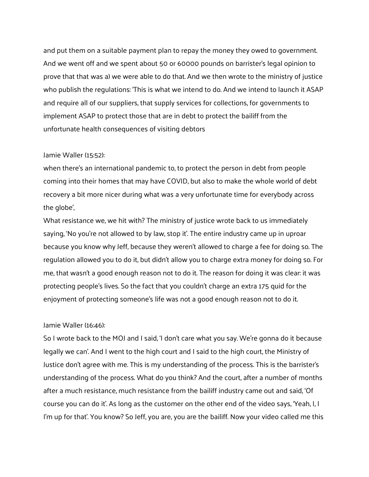and put them on a suitable payment plan to repay the money they owed to government. And we went off and we spent about 50 or 60000 pounds on barrister's legal opinion to prove that that was a) we were able to do that. And we then wrote to the ministry of justice who publish the regulations: 'This is what we intend to do. And we intend to launch it ASAP and require all of our suppliers, that supply services for collections, for governments to implement ASAP to protect those that are in debt to protect the bailiff from the unfortunate health consequences of visiting debtors

#### Jamie Waller (15:52):

when there's an international pandemic to, to protect the person in debt from people coming into their homes that may have COVID, but also to make the whole world of debt recovery a bit more nicer during what was a very unfortunate time for everybody across the globe',

What resistance we, we hit with? The ministry of justice wrote back to us immediately saying, 'No you're not allowed to by law, stop it'. The entire industry came up in uproar because you know why Jeff, because they weren't allowed to charge a fee for doing so. The regulation allowed you to do it, but didn't allow you to charge extra money for doing so. For me, that wasn't a good enough reason not to do it. The reason for doing it was clear: it was protecting people's lives. So the fact that you couldn't charge an extra 175 quid for the enjoyment of protecting someone's life was not a good enough reason not to do it.

# Jamie Waller (16:46):

So I wrote back to the MOJ and I said, 'I don't care what you say. We're gonna do it because legally we can'. And I went to the high court and I said to the high court, the Ministry of Justice don't agree with me. This is my understanding of the process. This is the barrister's understanding of the process. What do you think? And the court, after a number of months after a much resistance, much resistance from the bailiff industry came out and said, 'Of course you can do it'. As long as the customer on the other end of the video says, 'Yeah, I, I I'm up for that'. You know? So Jeff, you are, you are the bailiff. Now your video called me this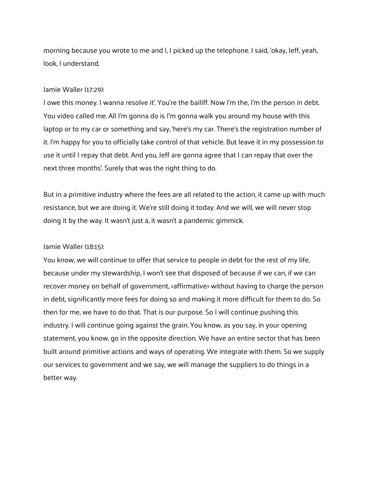morning because you wrote to me and I, I picked up the telephone. I said, 'okay, Jeff, yeah, look, I understand.

### Jamie Waller (17:29):

I owe this money. I wanna resolve it'. You're the bailiff. Now I'm the, I'm the person in debt. You video called me. All I'm gonna do is I'm gonna walk you around my house with this laptop or to my car or something and say, 'here's my car. There's the registration number of it. I'm happy for you to officially take control of that vehicle. But leave it in my possession to use it until I repay that debt. And you, Jeff are gonna agree that I can repay that over the next three months'. Surely that was the right thing to do.

But in a primitive industry where the fees are all related to the action, it came up with much resistance, but we are doing it. We're still doing it today. And we will, we will never stop doing it by the way. It wasn't just a, it wasn't a pandemic gimmick.

# Jamie Waller (18:15):

You know, we will continue to offer that service to people in debt for the rest of my life, because under my stewardship, I won't see that disposed of because if we can, if we can recover money on behalf of government, <affirmative> without having to charge the person in debt, significantly more fees for doing so and making it more difficult for them to do. So then for me, we have to do that. That is our purpose. So I will continue pushing this industry. I will continue going against the grain. You know, as you say, in your opening statement, you know, go in the opposite direction. We have an entire sector that has been built around primitive actions and ways of operating. We integrate with them. So we supply our services to government and we say, we will manage the suppliers to do things in a better way.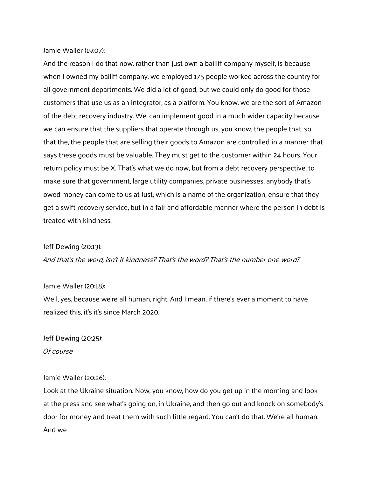# Jamie Waller (19:07):

And the reason I do that now, rather than just own a bailiff company myself, is because when I owned my bailiff company, we employed 175 people worked across the country for all government departments. We did a lot of good, but we could only do good for those customers that use us as an integrator, as a platform. You know, we are the sort of Amazon of the debt recovery industry. We, can implement good in a much wider capacity because we can ensure that the suppliers that operate through us, you know, the people that, so that the, the people that are selling their goods to Amazon are controlled in a manner that says these goods must be valuable. They must get to the customer within 24 hours. Your return policy must be X. That's what we do now, but from a debt recovery perspective, to make sure that government, large utility companies, private businesses, anybody that's owed money can come to us at Just, which is a name of the organization, ensure that they get a swift recovery service, but in a fair and affordable manner where the person in debt is treated with kindness.

### Jeff Dewing (20:13):

And that's the word, isn't it kindness? That's the word? That's the number one word?

### Jamie Waller (20:18):

Well, yes, because we're all human, right. And I mean, if there's ever a moment to have realized this, it's it's since March 2020.

Jeff Dewing (20:25): Of course

### Jamie Waller (20:26):

Look at the Ukraine situation. Now, you know, how do you get up in the morning and look at the press and see what's going on, in Ukraine, and then go out and knock on somebody's door for money and treat them with such little regard. You can't do that. We're all human. And we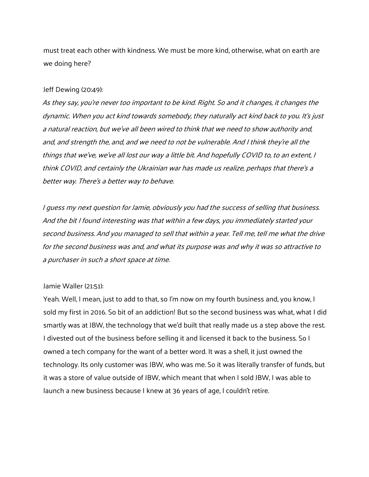must treat each other with kindness. We must be more kind, otherwise, what on earth are we doing here?

#### Jeff Dewing (20:49):

As they say, you're never too important to be kind. Right. So and it changes, it changes the dynamic. When you act kind towards somebody, they naturally act kind back to you. It's just a natural reaction, but we've all been wired to think that we need to show authority and, and, and strength the, and, and we need to not be vulnerable. And I think they're all the things that we've, we've all lost our way a little bit. And hopefully COVID to, to an extent, I think COVID, and certainly the Ukrainian war has made us realize, perhaps that there's <sup>a</sup> better way. There's a better way to behave.

I guess my next question for Jamie, obviously you had the success of selling that business. And the bit I found interesting was that within a few days, you immediately started your second business. And you managed to sell that within a year. Tell me, tell me what the drive for the second business was and, and what its purpose was and why it was so attractive to a purchaser in such a short space at time.

### Jamie Waller (21:51):

Yeah. Well, I mean, just to add to that, so I'm now on my fourth business and, you know, I sold my first in 2016. So bit of an addiction! But so the second business was what, what I did smartly was at JBW, the technology that we'd built that really made us a step above the rest. I divested out of the business before selling it and licensed it back to the business. So I owned a tech company for the want of a better word. It was a shell, it just owned the technology. Its only customer was JBW, who was me. So it was literally transfer of funds, but it was a store of value outside of JBW, which meant that when I sold JBW, I was able to launch a new business because I knew at 36 years of age, I couldn't retire.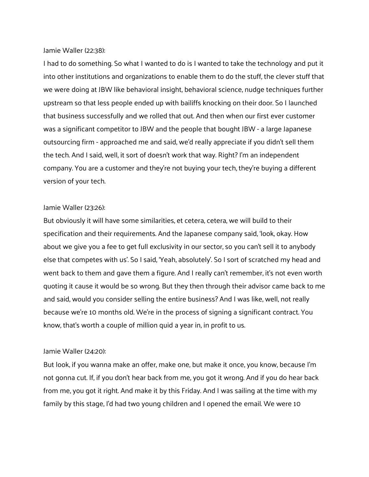### Jamie Waller (22:38):

I had to do something. So what I wanted to do is I wanted to take the technology and put it into other institutions and organizations to enable them to do the stuff, the clever stuff that we were doing at JBW like behavioral insight, behavioral science, nudge techniques further upstream so that less people ended up with bailiffs knocking on their door. So I launched that business successfully and we rolled that out. And then when our first ever customer was a significant competitor to JBW and the people that bought JBW - a large Japanese outsourcing firm - approached me and said, we'd really appreciate if you didn't sell them the tech. And I said, well, it sort of doesn't work that way. Right? I'm an independent company. You are a customer and they're not buying your tech, they're buying a different version of your tech.

### Jamie Waller (23:26):

But obviously it will have some similarities, et cetera, cetera, we will build to their specification and their requirements. And the Japanese company said, 'look, okay. How about we give you a fee to get full exclusivity in our sector, so you can't sell it to anybody else that competes with us'. So I said, 'Yeah, absolutely'. So I sort of scratched my head and went back to them and gave them a figure. And I really can't remember, it's not even worth quoting it cause it would be so wrong. But they then through their advisor came back to me and said, would you consider selling the entire business? And I was like, well, not really because we're 10 months old. We're in the process of signing a significant contract. You know, that's worth a couple of million quid a year in, in profit to us.

### Jamie Waller (24:20):

But look, if you wanna make an offer, make one, but make it once, you know, because I'm not gonna cut. If, if you don't hear back from me, you got it wrong. And if you do hear back from me, you got it right. And make it by this Friday. And I was sailing at the time with my family by this stage, I'd had two young children and I opened the email. We were 10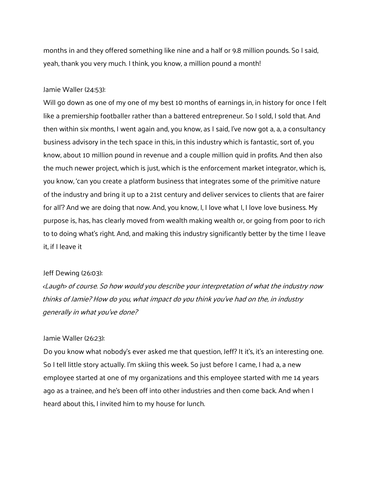months in and they offered something like nine and a half or 9.8 million pounds. So I said, yeah, thank you very much. I think, you know, a million pound a month!

# Jamie Waller (24:53):

Will go down as one of my one of my best 10 months of earnings in, in history for once I felt like a premiership footballer rather than a battered entrepreneur. So I sold, I sold that. And then within six months, I went again and, you know, as I said, I've now got a, a, a consultancy business advisory in the tech space in this, in this industry which is fantastic, sort of, you know, about 10 million pound in revenue and a couple million quid in profits. And then also the much newer project, which is just, which is the enforcement market integrator, which is, you know, 'can you create a platform business that integrates some of the primitive nature of the industry and bring it up to a 21st century and deliver services to clients that are fairer for all'? And we are doing that now. And, you know, I, I love what I, I love love business. My purpose is, has, has clearly moved from wealth making wealth or, or going from poor to rich to to doing what's right. And, and making this industry significantly better by the time I leave it, if I leave it

# Jeff Dewing (26:03):

<Laugh> of course. So how would you describe your interpretation of what the industry now thinks of Jamie? How do you, what impact do you think you've had on the, in industry generally in what you've done?

# Jamie Waller (26:23):

Do you know what nobody's ever asked me that question, Jeff? It it's, it's an interesting one. So I tell little story actually. I'm skiing this week. So just before I came, I had a, a new employee started at one of my organizations and this employee started with me 14 years ago as a trainee, and he's been off into other industries and then come back. And when I heard about this, I invited him to my house for lunch.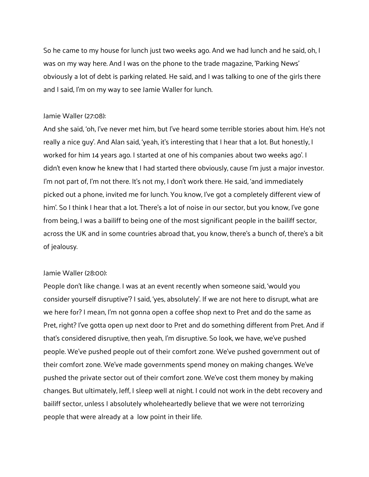So he came to my house for lunch just two weeks ago. And we had lunch and he said, oh, I was on my way here. And I was on the phone to the trade magazine, 'Parking News' obviously a lot of debt is parking related. He said, and I was talking to one of the girls there and I said, I'm on my way to see Jamie Waller for lunch.

### Jamie Waller (27:08):

And she said, 'oh, I've never met him, but I've heard some terrible stories about him. He's not really a nice guy'. And Alan said, 'yeah, it's interesting that I hear that a lot. But honestly, I worked for him 14 years ago. I started at one of his companies about two weeks ago'. I didn't even know he knew that I had started there obviously, cause I'm just a major investor. I'm not part of, I'm not there. It's not my, I don't work there. He said, 'and immediately picked out a phone, invited me for lunch. You know, I've got a completely different view of him'. So I think I hear that a lot. There's a lot of noise in our sector, but you know, I've gone from being, I was a bailiff to being one of the most significant people in the bailiff sector, across the UK and in some countries abroad that, you know, there's a bunch of, there's a bit of jealousy.

### Jamie Waller (28:00):

People don't like change. I was at an event recently when someone said, 'would you consider yourself disruptive'? I said, 'yes, absolutely'. If we are not here to disrupt, what are we here for? I mean, I'm not gonna open a coffee shop next to Pret and do the same as Pret, right? I've gotta open up next door to Pret and do something different from Pret. And if that's considered disruptive, then yeah, I'm disruptive. So look, we have, we've pushed people. We've pushed people out of their comfort zone. We've pushed government out of their comfort zone. We've made governments spend money on making changes. We've pushed the private sector out of their comfort zone. We've cost them money by making changes. But ultimately, Jeff, I sleep well at night. I could not work in the debt recovery and bailiff sector, unless I absolutely wholeheartedly believe that we were not terrorizing people that were already at a low point in their life.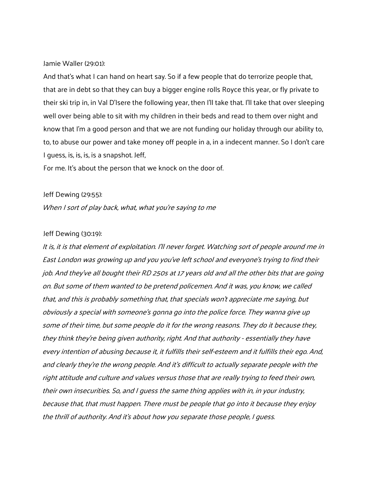Jamie Waller (29:01):

And that's what I can hand on heart say. So if a few people that do terrorize people that, that are in debt so that they can buy a bigger engine rolls Royce this year, or fly private to their ski trip in, in Val D'Isere the following year, then I'll take that. I'll take that over sleeping well over being able to sit with my children in their beds and read to them over night and know that I'm a good person and that we are not funding our holiday through our ability to, to, to abuse our power and take money off people in a, in a indecent manner. So I don't care I guess, is, is, is, is a snapshot. Jeff,

For me. It's about the person that we knock on the door of.

#### Jeff Dewing (29:55):

When I sort of play back, what, what you're saying to me

#### Jeff Dewing (30:19):

It is, it is that element of exploitation. I'll never forget. Watching sort of people around me in East London was growing up and you you've left school and everyone's trying to find their job. And they've all bought their RD 250s at 17 years old and all the other bits that are going on. But some of them wanted to be pretend policemen. And it was, you know, we called that, and this is probably something that, that specials won't appreciate me saying, but obviously a special with someone's gonna go into the police force. They wanna give up some of their time, but some people do it for the wrong reasons. They do it because they, they think they're being given authority, right. And that authority - essentially they have every intention of abusing because it, it fulfills their self-esteem and it fulfills their ego. And, and clearly they're the wrong people. And it's difficult to actually separate people with the right attitude and culture and values versus those that are really trying to feed their own, their own insecurities. So, and I guess the same thing applies with in, in your industry, because that, that must happen. There must be people that go into it because they enjoy the thrill of authority. And it's about how you separate those people, I guess.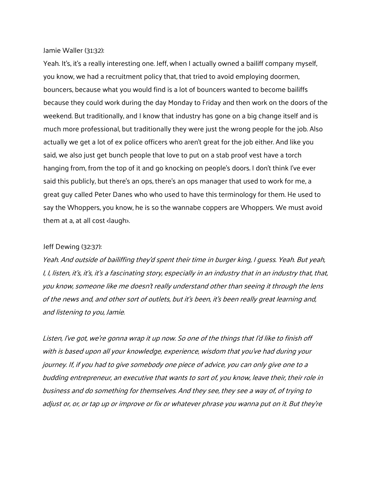### Jamie Waller (31:32):

Yeah. It's, it's a really interesting one. Jeff, when I actually owned a bailiff company myself, you know, we had a recruitment policy that, that tried to avoid employing doormen, bouncers, because what you would find is a lot of bouncers wanted to become bailiffs because they could work during the day Monday to Friday and then work on the doors of the weekend. But traditionally, and I know that industry has gone on a big change itself and is much more professional, but traditionally they were just the wrong people for the job. Also actually we get a lot of ex police officers who aren't great for the job either. And like you said, we also just get bunch people that love to put on a stab proof vest have a torch hanging from, from the top of it and go knocking on people's doors. I don't think I've ever said this publicly, but there's an ops, there's an ops manager that used to work for me, a great guy called Peter Danes who who used to have this terminology for them. He used to say the Whoppers, you know, he is so the wannabe coppers are Whoppers. We must avoid them at a, at all cost <laugh>.

### Jeff Dewing (32:37):

Yeah. And outside of bailiffing they'd spent their time in burger king, I guess. Yeah. But yeah, I, I, listen, it's, it's, it's a fascinating story, especially in an industry that in an industry that, that, you know, someone like me doesn't really understand other than seeing it through the lens of the news and, and other sort of outlets, but it's been, it's been really great learning and, and listening to you, Jamie.

Listen, I've got, we're gonna wrap it up now. So one of the things that I'd like to finish off with is based upon all your knowledge, experience, wisdom that you've had during your journey. If, if you had to give somebody one piece of advice, you can only give one to a budding entrepreneur, an executive that wants to sort of, you know, leave their, their role in business and do something for themselves. And they see, they see a way of, of trying to adjust or, or, or tap up or improve or fix or whatever phrase you wanna put on it. But they're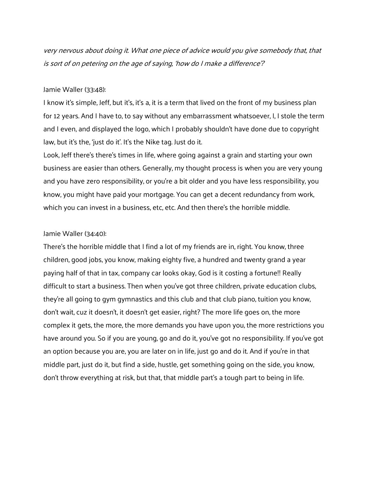very nervous about doing it. What one piece of advice would you give somebody that, that is sort of on petering on the age of saying, 'how do I make a difference'?

# Jamie Waller (33:48):

I know it's simple, Jeff, but it's, it's a, it is a term that lived on the front of my business plan for 12 years. And I have to, to say without any embarrassment whatsoever, I, I stole the term and I even, and displayed the logo, which I probably shouldn't have done due to copyright law, but it's the, 'just do it'. It's the Nike tag. Just do it.

Look, Jeff there's there's times in life, where going against a grain and starting your own business are easier than others. Generally, my thought process is when you are very young and you have zero responsibility, or you're a bit older and you have less responsibility, you know, you might have paid your mortgage. You can get a decent redundancy from work, which you can invest in a business, etc, etc. And then there's the horrible middle.

#### Jamie Waller (34:40):

There's the horrible middle that I find a lot of my friends are in, right. You know, three children, good jobs, you know, making eighty five, a hundred and twenty grand a year paying half of that in tax, company car looks okay, God is it costing a fortune!! Really difficult to start a business. Then when you've got three children, private education clubs, they're all going to gym gymnastics and this club and that club piano, tuition you know, don't wait, cuz it doesn't, it doesn't get easier, right? The more life goes on, the more complex it gets, the more, the more demands you have upon you, the more restrictions you have around you. So if you are young, go and do it, you've got no responsibility. If you've got an option because you are, you are later on in life, just go and do it. And if you're in that middle part, just do it, but find a side, hustle, get something going on the side, you know, don't throw everything at risk, but that, that middle part's a tough part to being in life.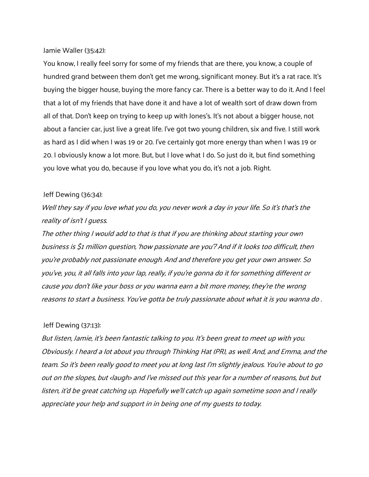### Jamie Waller (35:42):

You know, I really feel sorry for some of my friends that are there, you know, a couple of hundred grand between them don't get me wrong, significant money. But it's a rat race. It's buying the bigger house, buying the more fancy car. There is a better way to do it. And I feel that a lot of my friends that have done it and have a lot of wealth sort of draw down from all of that. Don't keep on trying to keep up with Jones's. It's not about a bigger house, not about a fancier car, just live a great life. I've got two young children, six and five. I still work as hard as I did when I was 19 or 20. I've certainly got more energy than when I was 19 or 20. I obviously know a lot more. But, but I love what I do. So just do it, but find something you love what you do, because if you love what you do, it's not a job. Right.

### Jeff Dewing (36:34):

Well they say if you love what you do, you never work a day in your life. So it's that's the reality of isn't I guess.

The other thing I would add to that is that if you are thinking about starting your own business is \$1 million question, 'how passionate are you'? And if it looks too difficult, then you're probably not passionate enough. And and therefore you get your own answer. So you've, you, it all falls into your lap, really, if you're gonna do it for something different or cause you don't like your boss or you wanna earn a bit more money, they're the wrong reasons to start a business. You've gotta be truly passionate about what it is you wanna do .

# Jeff Dewing (37:13):

But listen, Jamie, it's been fantastic talking to you. It's been great to meet up with you. Obviously. I heard a lot about you through Thinking Hat (PR), as well. And, and Emma, and the team. So it's been really good to meet you at long last I'm slightly jealous. You're about to go out on the slopes, but <laugh> and I've missed out this year for a number of reasons, but but listen, it'd be great catching up. Hopefully we'll catch up again sometime soon and I really appreciate your help and support in in being one of my guests to today.